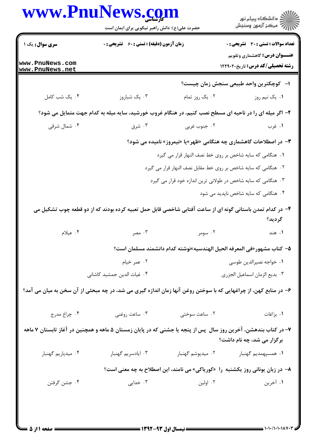| www.PnuNews.com                   | حضرت علی(ع): دانش راهبر نیکویی برای ایمان است                                                                    |                                                                           | ڪ دانشڪاه پيام نور<br>//> مرڪز آزمون وسنڊش                                           |  |  |
|-----------------------------------|------------------------------------------------------------------------------------------------------------------|---------------------------------------------------------------------------|--------------------------------------------------------------------------------------|--|--|
| سری سوال: یک ۱<br>www.PnuNews.com | زمان آزمون (دقیقه) : تستی : 60 ٪ تشریحی : 0                                                                      |                                                                           | <b>تعداد سوالات : تستی : 30 ٪ تشریحی : 0</b><br><b>عنـــوان درس:</b> گاهشماری وتقویم |  |  |
| www.PnuNews.net                   |                                                                                                                  |                                                                           | <b>رشته تحصیلی/کد درس:</b> تاریخ۲۲۹۰۲۰                                               |  |  |
|                                   |                                                                                                                  |                                                                           | ا–۔ کوچکترین واحد طبیعی سنجش زمان چیست؟                                              |  |  |
| ۰۴ یک شب کامل                     | ۰۳ یک شباروز                                                                                                     | ۰۲ یک روز تمام                                                            | ۰۱ یک نیم روز                                                                        |  |  |
|                                   | ۲- اگر میله ای را در ناحیه ای مسطح نصب کنیم، در هنگام غروب خورشید، سایه میله به کدام جهت متمایل می شود؟          |                                                                           |                                                                                      |  |  |
| ۰۴ شمال شرقی                      | ۰۳ شرق                                                                                                           | ۰۲ جنوب غربی                                                              | ۰۱ غرب                                                                               |  |  |
|                                   |                                                                                                                  | <b>۳</b> – در اصطلاحات گاهشماری چه هنگامی «ظهر»یا «نیمروز» نامیده می شود؟ |                                                                                      |  |  |
|                                   | ١. هنگامي كه سايه شاخص بر روي خط نصف النهار قرار مي گيرد                                                         |                                                                           |                                                                                      |  |  |
|                                   |                                                                                                                  | ۰۲ هنگامی که سایه شاخص بر روی خط مقابل نصف النهار قرار می گیرد            |                                                                                      |  |  |
|                                   |                                                                                                                  | ۰۳ هنگامی که سایه شاخص در طولانی ترین اندازه خود قرار می گیرد             |                                                                                      |  |  |
|                                   |                                                                                                                  |                                                                           | ۰۴ هنگامی که سایه شاخص ناپدید می شود                                                 |  |  |
|                                   | ۴– در کدام تمدن باستانی گونه ای از ساعت آفتابی شاخصی قابل حمل تعبیه کرده بودند که از دو قطعه چوب تشکیل می        |                                                                           | گرديد؟                                                                               |  |  |
| ۰۴ عیلام                          | ۰۳ مصر                                                                                                           | ۰۲ سومر                                                                   | ۱. هند                                                                               |  |  |
|                                   |                                                                                                                  |                                                                           | ۵−  كتاب مشهور «في المعرفه الحيل الهندسيه»نوشته كدام دانشمند مسلمان است؟             |  |  |
|                                   | ۰۲ عمر خیام                                                                                                      |                                                                           | ٠١ خواجه نصيرالدين طوسي                                                              |  |  |
|                                   | ۰۴ غیاث الدین جمشید کاشانی                                                                                       |                                                                           | ٠٣ بديع الزمان اسماعيل الجزرى                                                        |  |  |
|                                   | ۶– در منابع کهن، از چراغهایی که با سوختن روغن آنها زمان اندازه گیری می شد، در چه مبحثی از آن سخن به میان می آمد؟ |                                                                           |                                                                                      |  |  |
| ۰۴ چراغ مدرج                      | ۰۳ ساعت روغنی                                                                                                    | ۰۲ ساعت سوختی                                                             | ۰۱ بزاغات                                                                            |  |  |
|                                   | ۷– در کتاب بندهشن، آخرین روز سال پس از پنجه یا جشنی که در پایان زمستان ۵ ماهه و همچنین در آغاز تابستان ۷ ماهه    |                                                                           | برگزار می شد، چه نام داشت؟                                                           |  |  |
| ۰۴ میدیاریم گهنبار                | ۰۳ ايادسريم گهنبار                                                                                               |                                                                           | ۰۱ همسپهمديم گهنبار <b>مسلم ک</b> هنبار ميديوشم گهنبار                               |  |  |
|                                   |                                                                                                                  |                                                                           | ٨- در زبان یونانی روز یکشنبه ۱٫ «کوریاکی» می نامند، این اصطلاح به چه معنی است؟       |  |  |
| ۰۴ جشن گرفتن                      | ۰۳ خدایی                                                                                                         | ۲. اولین                                                                  | ۱. آخرین                                                                             |  |  |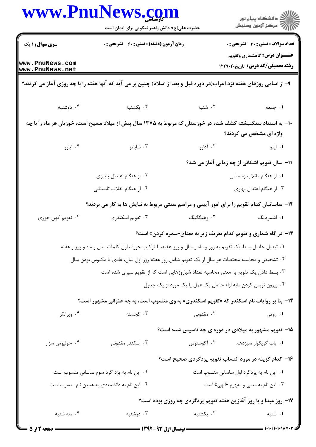|                                    | www.PnulNews.com<br>حضرت علی(ع): دانش راهبر نیکویی برای ایمان است                                                      |                                                                                   | ڪ دانشڪاه پيام نور<br>ر∕ آرمون وسنڊش                                          |
|------------------------------------|------------------------------------------------------------------------------------------------------------------------|-----------------------------------------------------------------------------------|-------------------------------------------------------------------------------|
| سری سوال: ۱ یک                     | <b>زمان آزمون (دقیقه) : تستی : 60 ٪ تشریحی : 0</b>                                                                     |                                                                                   | تعداد سوالات : تستي : 30 ٪ تشريحي : 0<br><b>عنـــوان درس:</b> گاهشماری وتقویم |
| www.PnuNews.com<br>www.PnuNews.net |                                                                                                                        |                                                                                   | <b>رشته تحصیلی/کد درس:</b> تاریخ۲۲۹۰۲۰                                        |
|                                    | ۹- از اسامی روزهای هفته نزد اعراب(در دوره قبل و بعد از اسلام) چنین بر می آید که آنها هفته را با چه روزی آغاز می کردند؟ |                                                                                   |                                                                               |
| ۰۴ دوشنبه                          | ۰۳ یکشنبه                                                                                                              | ۲. شنبه                                                                           | ۱. جمعه                                                                       |
|                                    | +۱- به استناد سنگنبشته کشف شده در خوزستان که مربوط به ۱۳۷۵ سال پیش از میلاد مسیح است، خوزیان هر ماه را با چه           |                                                                                   | واژه ای مشخص می کردند؟                                                        |
| ۰۴ ایارو                           | ۰۳ شاباتو                                                                                                              | ۰۲ آدارو                                                                          | ۰۱ ايتو                                                                       |
|                                    |                                                                                                                        |                                                                                   | 11- سال تقویم اشکانی از چه زمانی آغاز می شد؟                                  |
|                                    | ۰۲ از هنگام اعتدال پاییزی                                                                                              |                                                                                   | ۰۱ از هنگام انقلاب زمستانی                                                    |
|                                    | ۰۴ از هنگام انقلاب تابستانی                                                                                            |                                                                                   | ۰۳ از هنگام اعتدال بهاری                                                      |
|                                    | ۱۲- ساسانیان کدام تقویم را برای امور آیینی و مراسم سنتی مربوط به نیایش ها به کار می بردند؟                             |                                                                                   |                                                                               |
| ۰۴ تقویم کهن خوزی                  | ۰۳ تقویم اسکندری                                                                                                       | ۰۲ وهیگگیگ                                                                        | ۰۱ اشمردیگ                                                                    |
|                                    |                                                                                                                        | ۱۳- در گاه شماری و تقویم کدام تعریف زیر به معنای«سمره کردن» است؟                  |                                                                               |
|                                    | ۰۱ تبدیل حاصل بسط یک تقویم به روز و ماه و سال و روز هفته، با ترکیب حروف اول کلمات سال و ماه و روز و هفته               |                                                                                   |                                                                               |
|                                    | ۰۲ تشخیص و محاسبه مختصات هر سال از یک تقویم شامل روز هفته روز اول سال، عادی یا مکبوس بودن سال                          |                                                                                   |                                                                               |
|                                    |                                                                                                                        | ۰۳ بسط دادن یک تقویم به معنی محاسبه تعداد شباروزهایی است که از تقویم سپری شده است |                                                                               |
|                                    |                                                                                                                        | ۰۴ بیرون نویس کردن مابه ازاء حاصل یک عمل یا یک مورد از یک جدول                    |                                                                               |
|                                    | <b>۱۴</b> - بنا بر روایات نام اسکندر که «تقویم اسکندری» به وی منسوب است، به چه عنوانی مشهور است؟                       |                                                                                   |                                                                               |
| ۰۴ ویرانگر                         | ۰۳ گجسته                                                                                                               | ۰۲ مقدونی                                                                         | ۰۱ رومی                                                                       |
|                                    |                                                                                                                        | <b>۱۵</b> - تقویم مشهور به میلادی در دوره ی چه تاسیس شده است؟                     |                                                                               |
| ۰۴ جوليوس سزار                     | ۰۳ اسکندر مقدونی                                                                                                       |                                                                                   | ۰۱ پاپ گریگوار سیزدهم مسلم ۲۰ آگوستوس                                         |
|                                    |                                                                                                                        | ۱۶– کدام گزینه در مورد انتساب تقویم یزدگردی صحیح است؟                             |                                                                               |
|                                    | ۰۲ این نام به یزد گرد سوم ساسانی منسوب است                                                                             |                                                                                   | ۰۱ این نام به یزدگرد اول ساسانی منسوب است                                     |
|                                    | ۰۴ این نام به دانشمندی به همین نام منسوب است                                                                           |                                                                                   | ۰۳ این نام به معنی و مفهوم «الهی» است                                         |
|                                    |                                                                                                                        | <b>۱۷- روز مبدا و یا روز آغازین هفته تقویم یزدگردی چه روزی بوده است؟</b>          |                                                                               |
| ۰۴ سه شنبه                         | ۰۳ دوشنبه                                                                                                              | ۰۲ یکشنبه                                                                         | ۰۱ شنبه                                                                       |
| = صفحه 2 از 5                      |                                                                                                                        | ــــــــــــ نیمسال اول ۹۳-۱۳۹۲ ــــ                                              | ▅▅▅ ۱・۱・/۱・۱・۱۸۷・۳                                                            |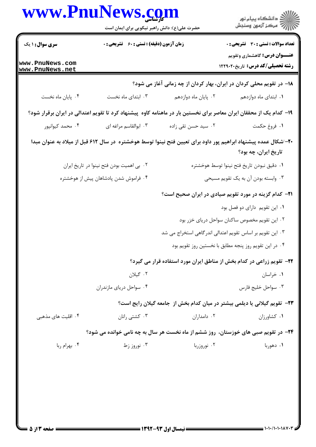| www.PnuNews.com                       | حضرت علی(ع): دانش راهبر نیکویی برای ایمان است      |                                                           | ڪ دانشڪاه پيام نور<br>پ <sup>ر</sup> مرڪز آزمون وسنڊش                                                                                   |
|---------------------------------------|----------------------------------------------------|-----------------------------------------------------------|-----------------------------------------------------------------------------------------------------------------------------------------|
| <b>سری سوال :</b> ۱ یک                | <b>زمان آزمون (دقیقه) : تستی : 60 ٪ تشریحی : 0</b> |                                                           | <b>تعداد سوالات : تستی : 30 ٪ تشریحی : 0</b>                                                                                            |
| www.PnuNews.com<br>www.PnuNews.net    |                                                    |                                                           | <b>عنـــوان درس:</b> گاهشماری وتقویم<br>رشته تحصیلی/کد درس: تاریخ۲۲۹۰۲۰                                                                 |
|                                       |                                                    |                                                           | ۱۸- در تقویم محلی کردان در ایران، بهار کردان از چه زمانی آغاز می شود؟                                                                   |
| ۰۴ پایان ماه نخست                     | ۰۳ ابتدای ماه نخست                                 | ۰۲ پایان ماه دوازدهم                                      | ۰۱ ابتدای ماه دوازدهم                                                                                                                   |
|                                       |                                                    |                                                           | ۱۹– کدام یک از محققان ایران معاصر برای نخستین بار در ماهنامه کاوه پیشنهاد کرد تا تقویم اعتدالی در ایران برقرار شود؟                     |
| ۰۴ محمد کیوانپور                      | ۰۳ ابوالقاسم مراغه ای                              | ۰۲ سید حسن تقی زاده                                       | ٠١. فروغ حكمت                                                                                                                           |
|                                       |                                                    |                                                           | ۲۰–اشکال عمده پیشنهاد ابراهیم پور داود برای تعیین فتح نینوا توسط هوخشتره  در سال ۶۱۲ قبل از میلاد به عنوان مبدا<br>تاریخ ایران، چه بود؟ |
|                                       | ۰۲ بی اهمیت بودن فتح نینوا در تاریخ ایران          |                                                           | ٠١ دقيق نبودن تاريخ فتح نينوا توسط هوخشتره                                                                                              |
| ۰۴ فراموش شدن پادشاهان پیش از هوخشتره |                                                    |                                                           | ۰۳ وابسته بودن آن به یک تقویم مسیحی                                                                                                     |
|                                       |                                                    |                                                           | <b>۲۱</b> - کدام گزینه در مورد تقویم صیادی در ایران صحیح است؟                                                                           |
|                                       |                                                    |                                                           | ٠١ اين تقويم داراي دو فصل بود                                                                                                           |
|                                       |                                                    |                                                           | ۰۲ این تقویم مخصوص ساکنان سواحل دریای خزر بود                                                                                           |
|                                       |                                                    | ۰۳ این تقویم بر اساس تقویم اعتدالی اندرگاهی استخراج می شد |                                                                                                                                         |
|                                       |                                                    |                                                           | ۰۴ در این تقویم روز پنجه مطابق با نخستین روز تقویم بود                                                                                  |
|                                       |                                                    |                                                           | ۲۲- تقویم زراعی در کدام بخش از مناطق ایران مورد استفاده قرار می گیرد؟                                                                   |
|                                       | ۰۲ گیلان                                           |                                                           | ۰۱ خراسان                                                                                                                               |
|                                       | ۰۴ سواحل درياي مازندران                            |                                                           | ۰۳ سواحل خليج فارس                                                                                                                      |
|                                       |                                                    |                                                           | <b>۲۳</b> - تقویم گیلانی یا دیلمی بیشتر در میان کدام بخش از جامعه گیلان رایج است؟                                                       |
| ۰۴ اقلیت های مذهبی                    | ۰۳ کشتی رانان                                      | ۰۲ دامداران                                               | ۰۱ کشاورزان                                                                                                                             |
|                                       |                                                    |                                                           | <b>۲۴</b> - در تقویم صبی های خوزستان، روز ششم از ماه نخست هر سال به چه نامی خوانده می شود؟                                              |
| ۰۴ بهرام ربا                          | ۰۳ نوروز زط                                        | ۰۲ نوروزربا                                               | ۰۱ دهوربا                                                                                                                               |
|                                       |                                                    |                                                           |                                                                                                                                         |
|                                       |                                                    |                                                           |                                                                                                                                         |
|                                       |                                                    |                                                           |                                                                                                                                         |
|                                       |                                                    |                                                           |                                                                                                                                         |
|                                       |                                                    |                                                           |                                                                                                                                         |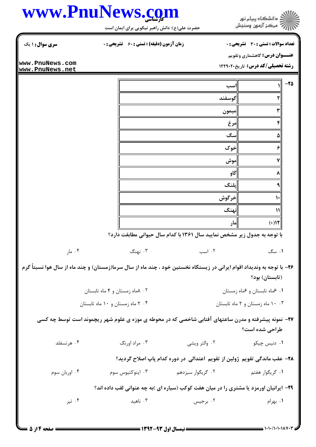

## كارشناسي **[www.PnuNews.com](http://www.PnuNews.com)**

تعداد سوالات : تستي تشريحي زمان آزمون (دقيقه) : تستي تشريحي سري سوال & % (: )(: ( '(: : :

حضرت علي(ع): دانش راهبر نيكويي براي ايمان است

**عنـــوان درس:** گاهشماري وتقويم

**رشته تحصیلی/کد درس:** تاریخ۲۲۹۰۲۰

**[www.PnuNews.com](http://pnunews.com) [www.PnuNews.net](http://pnunews.net)**

|        |                                                                          |               | $-\mathbf{Y}\Delta$ |
|--------|--------------------------------------------------------------------------|---------------|---------------------|
|        | اسب                                                                      |               |                     |
|        | گوسفند                                                                   |               |                     |
|        | ميمون                                                                    |               |                     |
|        | مرغ                                                                      | ۴             |                     |
|        | سگ                                                                       | ۵             |                     |
|        | خوک                                                                      | ۶             |                     |
|        | موش                                                                      |               |                     |
|        | گاو                                                                      |               |                     |
|        | يلنگ                                                                     |               |                     |
|        | خرگوش                                                                    | ۱۰            |                     |
|        | نهنگ                                                                     | $\mathcal{V}$ |                     |
|        | مار                                                                      | $(+)$         |                     |
|        | با توجه به جدول زیر مشخص نمایید سال ۱۳۶۱ با کدام سال حیوانی مطابقت دارد؟ |               |                     |
| ۰۴ مار | ۰۳ نهنگ<br>۰۲ اسب                                                        | ۰۱ سگ         |                     |

۲۶– با توجه به وندیداد اقوام ایرانی در زیستگاه نخستین خود ، چند ماه از سال سرما(زمستان) و چند ماه از سال هوا نسبتاً گرم (تابستان) بود؟

> =BH
> 3 - =BH 3i =BH 3h -۰۹ ماه تابستان و عماه زمستان Million و مستان استان بازی از این کشور استان استان استان استان استان استان استان<br>استان استان استان استان استان استان استان استان استان استان استان استان استان استان استان استان استان استان اس =BH
> 3 jk - =BH 3 =BH
> 3 -=BH 3 jk . .

**7۷**- نمونه پیشرفته و مدرن ساعتهای آفتابی شاخصی که در محوطه ی موزه ی علوم شهر ریچموند است توسط چه کسی طراحي شده است؟

۰۴ هر تسفلد ۰۳ مراد اورنگ B'%- LF X# % . . . .

۲۸− عقب ماندگی تقویم ژولین از تقویم اعتدالی در دوره کدام پاپ اصلاح گردید؟

 / =-% / TB % 1#;/ %0 \$ BN1 %0 \$ % . . . .

**۲۹** - ایرانیان اورمزد یا مشتری را در میان هفت کوکب (سیاره ای )به چه عنوانی لقب داده اند؟

۱. بهرام مسلم ۲. برجیس مسلم ۲. ناهید مسلم ۲. تیر ۴. تا ۴. تر ٠١. بهرام